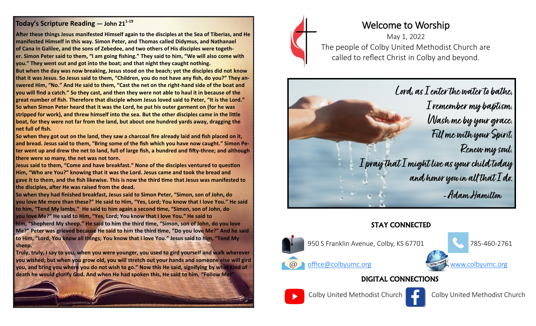#### **Today's Scripture Reading — John 21<sup>1</sup>-<sup>19</sup>**

**After these things Jesus manifested Himself again to the disciples at the Sea of Tiberias, and He manifested Himself in this way. Simon Peter, and Thomas called Didymus, and Nathanael of Cana in Galilee, and the sons of Zebedee, and two others of His disciples were together. Simon Peter said to them, "I am going fishing." They said to him, "We will also come with you." They went out and got into the boat; and that night they caught nothing. But when the day was now breaking, Jesus stood on the beach; yet the disciples did not know that it was Jesus. So Jesus said to them, "Children, you do not have any fish, do you?" They answered Him, "No." And He said to them, "Cast the net on the right-hand side of the boat and you will find a catch." So they cast, and then they were not able to haul it in because of the great number of fish. Therefore that disciple whom Jesus loved said to Peter, "It is the Lord." So when Simon Peter heard that it was the Lord, he put his outer garment on (for he was stripped for work), and threw himself into the sea. But the other disciples came in the little** 

**boat, for they were not far from the land, but about one hundred yards away, dragging the net full of fish.**

**So when they got out on the land, they saw a charcoal fire already laid and fish placed on it, and bread. Jesus said to them, "Bring some of the fish which you have now caught." Simon Peter went up and drew the net to land, full of large fish, a hundred and fifty-three; and although there were so many, the net was not torn.**

**Jesus said to them, "Come and have breakfast." None of the disciples ventured to question Him, "Who are You?" knowing that it was the Lord. Jesus came and took the bread and gave it to them, and the fish likewise. This is now the third time that Jesus was manifested to the disciples, after He was raised from the dead.**

**So when they had finished breakfast, Jesus said to Simon Peter, "Simon, son of John, do you love Me more than these?" He said to Him, "Yes, Lord; You know that I love You." He said to him, "Tend My lambs." He said to him again a second time, "Simon, son of John, do you love Me?" He said to Him, "Yes, Lord; You know that I love You." He said to** 

**him, "Shepherd My sheep." He said to him the third time, "Simon, son of John, do you love Me?" Peter was grieved because He said to him the third time, "Do you love Me?" And he said to Him, "Lord, You know all things; You know that I love You." Jesus said to him, "Tend My sheep.**

**Truly, truly, I say to you, when you were younger, you used to gird yourself and walk wherever you wished; but when you grow old, you will stretch out your hands and someone else will gird you, and bring you where you do not wish to go." Now this He said, signifying by what kind of death he would glorify God. And when He had spoken this, He said to him, "Follow Me!"**





# Welcome to Worship

May 1, 2022 The people of Colby United Methodist Church are called to reflect Christ in Colby and beyond.



## STAY CONNECTED



## DIGITAL CONNECTIONS